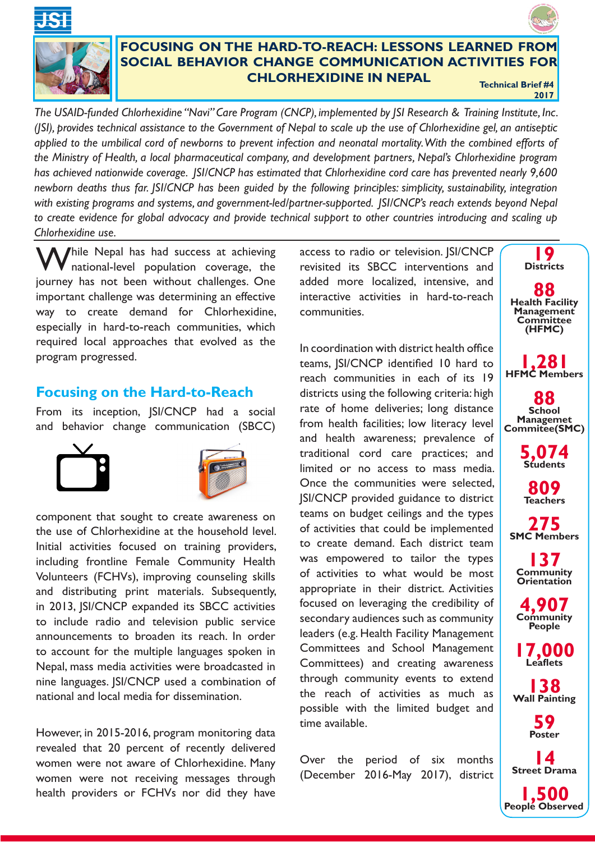



## **FOCUSING ON THE HARD-TO-REACH: LESSONS LEARNED FROM SOCIAL BEHAVIOR CHANGE COMMUNICATION ACTIVITIES FOR CHLORHEXIDINE IN NEPAL Technical Brief #4**

**2017**

*The USAID-funded Chlorhexidine "Navi" Care Program (CNCP), implemented by JSI Research & Training Institute, Inc. (JSI), provides technical assistance to the Government of Nepal to scale up the use of Chlorhexidine gel, an antiseptic*  applied to the umbilical cord of newborns to prevent infection and neonatal mortality. With the combined efforts of *the Ministry of Health, a local pharmaceutical company, and development partners, Nepal's Chlorhexidine program has achieved nationwide coverage. JSI/CNCP has estimated that Chlorhexidine cord care has prevented nearly 9,600 newborn deaths thus far. JSI/CNCP has been guided by the following principles: simplicity, sustainability, integration*  with existing programs and systems, and government-led/partner-supported. *JSI/CNCP's reach extends beyond Nepal to create evidence for global advocacy and provide technical support to other countries introducing and scaling up Chlorhexidine use.*

I hile Nepal has had success at achieving national-level population coverage, the journey has not been without challenges. One important challenge was determining an effective way to create demand for Chlorhexidine, especially in hard-to-reach communities, which required local approaches that evolved as the program progressed.

## **Focusing on the Hard-to-Reach**

From its inception, JSI/CNCP had a social and behavior change communication (SBCC)





component that sought to create awareness on the use of Chlorhexidine at the household level. Initial activities focused on training providers, including frontline Female Community Health Volunteers (FCHVs), improving counseling skills and distributing print materials. Subsequently, in 2013, JSI/CNCP expanded its SBCC activities to include radio and television public service announcements to broaden its reach. In order to account for the multiple languages spoken in Nepal, mass media activities were broadcasted in nine languages. JSI/CNCP used a combination of national and local media for dissemination.

However, in 2015-2016, program monitoring data revealed that 20 percent of recently delivered women were not aware of Chlorhexidine. Many women were not receiving messages through health providers or FCHVs nor did they have access to radio or television. JSI/CNCP revisited its SBCC interventions and added more localized, intensive, and interactive activities in hard-to-reach communities.

In coordination with district health office teams, JSI/CNCP identified 10 hard to reach communities in each of its 19 districts using the following criteria: high rate of home deliveries; long distance from health facilities; low literacy level and health awareness; prevalence of traditional cord care practices; and limited or no access to mass media. Once the communities were selected, JSI/CNCP provided guidance to district teams on budget ceilings and the types of activities that could be implemented to create demand. Each district team was empowered to tailor the types of activities to what would be most appropriate in their district. Activities focused on leveraging the credibility of secondary audiences such as community leaders (e.g. Health Facility Management Committees and School Management Committees) and creating awareness through community events to extend the reach of activities as much as possible with the limited budget and time available.

Over the period of six months (December 2016-May 2017), district